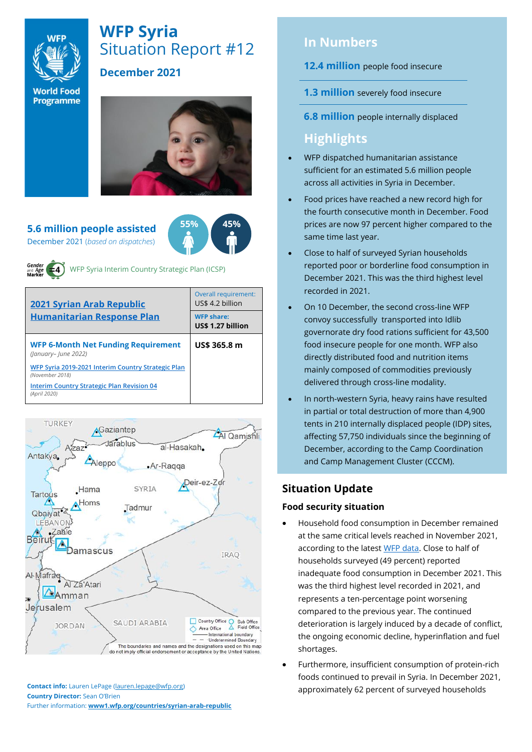

# **WFP Syria** Situation Report #12

# **December 2021**

**World Food** Programme



**5.6 million people assisted**  December 2021 (*based on dispatches*)



WFP Syria Interim Country Strategic Plan (ICSP)

| 2021 Syrian Arab Republic<br><b>Humanitarian Response Plan</b>        | Overall requirement:<br>US\$ 4.2 billion |  |  |
|-----------------------------------------------------------------------|------------------------------------------|--|--|
|                                                                       | <b>WFP share:</b><br>US\$ 1.27 billion   |  |  |
| <b>WFP 6-Month Net Funding Requirement</b><br>(January-June 2022)     | US\$ 365.8 m                             |  |  |
| WFP Syria 2019-2021 Interim Country Strategic Plan<br>(November 2018) |                                          |  |  |
| <b>Interim Country Strategic Plan Revision 04</b><br>(April 2020)     |                                          |  |  |



**Contact info:** Lauren LePage [\(lauren.lepage@wfp.org\)](mailto:lauren.lepage@wfp.org) **Country Director:** Sean O'Brien Further information: **[www1.wfp.org/countries/syrian-arab-republic](file:///C:/Users/lauren.lepage/AppData/Local/Microsoft/Windows/INetCache/Content.Outlook/HTRVWXQN/www1.wfp.org/countries/syrian-arab-republic)**

# **In Numbers**

**12.4 million** people food insecure

- **1.3 million** severely food insecure
- **6.8 million** people internally displaced

# **Highlights**

- WFP dispatched humanitarian assistance sufficient for an estimated 5.6 million people across all activities in Syria in December.
- Food prices have reached a new record high for the fourth consecutive month in December. Food prices are now 97 percent higher compared to the same time last year.
- Close to half of surveyed Syrian households reported poor or borderline food consumption in December 2021. This was the third highest level recorded in 2021.
- On 10 December, the second cross-line WFP convoy successfully transported into Idlib governorate dry food rations sufficient for 43,500 food insecure people for one month. WFP also directly distributed food and nutrition items mainly composed of commodities previously delivered through cross-line modality.
- In north-western Syria, heavy rains have resulted in partial or total destruction of more than 4,900 tents in 210 internally displaced people (IDP) sites, affecting 57,750 individuals since the beginning of December, according to the Camp Coordination and Camp Management Cluster (CCCM).

#### .<br>ب **Situation Update**

## **Food security situation**

- Household food consumption in December remained at the same critical levels reached in November 2021, according to the lates[t WFP data.](https://docs.wfp.org/api/documents/WFP-0000135752/download/) Close to half of households surveyed (49 percent) reported inadequate food consumption in December 2021. This was the third highest level recorded in 2021, and represents a ten-percentage point worsening compared to the previous year. The continued deterioration is largely induced by a decade of conflict, the ongoing economic decline, hyperinflation and fuel shortages.
- Furthermore, insufficient consumption of protein-rich foods continued to prevail in Syria. In December 2021, approximately 62 percent of surveyed households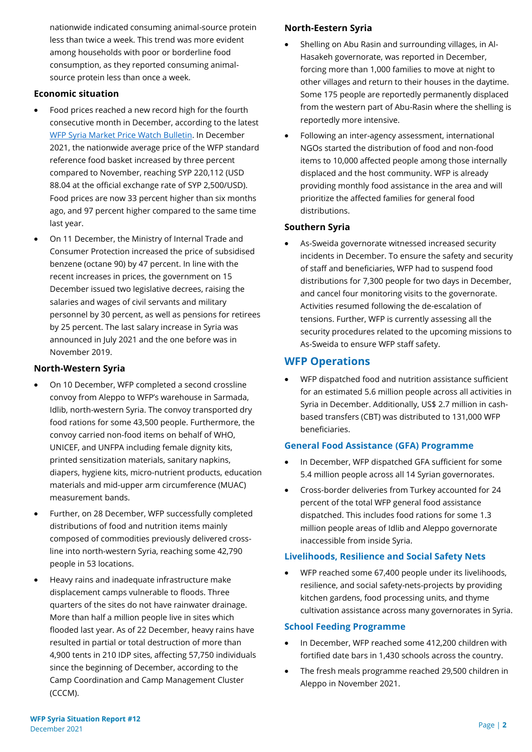nationwide indicated consuming animal-source protein less than twice a week. This trend was more evident among households with poor or borderline food consumption, as they reported consuming animalsource protein less than once a week.

#### **Economic situation**

- Food prices reached a new record high for the fourth consecutive month in December, according to the latest [WFP Syria Market Price Watch Bulletin.](https://reliefweb.int/report/syrian-arab-republic/syria-country-office-market-price-watch-bulletin-issue-85-december-2021) In December 2021, the nationwide average price of the WFP standard reference food basket increased by three percent compared to November, reaching SYP 220,112 (USD 88.04 at the official exchange rate of SYP 2,500/USD). Food prices are now 33 percent higher than six months ago, and 97 percent higher compared to the same time last year.
- On 11 December, the Ministry of Internal Trade and Consumer Protection increased the price of subsidised benzene (octane 90) by 47 percent. In line with the recent increases in prices, the government on 15 December issued two legislative decrees, raising the salaries and wages of civil servants and military personnel by 30 percent, as well as pensions for retirees by 25 percent. The last salary increase in Syria was announced in July 2021 and the one before was in November 2019.

#### **North-Western Syria**

- On 10 December, WFP completed a second crossline convoy from Aleppo to WFP's warehouse in Sarmada, Idlib, north-western Syria. The convoy transported dry food rations for some 43,500 people. Furthermore, the convoy carried non-food items on behalf of WHO, UNICEF, and UNFPA including female dignity kits, printed sensitization materials, sanitary napkins, diapers, hygiene kits, micro-nutrient products, education materials and mid-upper arm circumference (MUAC) measurement bands.
- Further, on 28 December, WFP successfully completed distributions of food and nutrition items mainly composed of commodities previously delivered crossline into north-western Syria, reaching some 42,790 people in 53 locations.
- Heavy rains and inadequate infrastructure make displacement camps vulnerable to floods. Three quarters of the sites do not have rainwater drainage. More than half a million people live in sites which flooded last year. As of 22 December, heavy rains have resulted in partial or total destruction of more than 4,900 tents in 210 IDP sites, affecting 57,750 individuals since the beginning of December, according to the Camp Coordination and Camp Management Cluster (CCCM).

#### **North-Eestern Syria**

- Shelling on Abu Rasin and surrounding villages, in Al-Hasakeh governorate, was reported in December, forcing more than 1,000 families to move at night to other villages and return to their houses in the daytime. Some 175 people are reportedly permanently displaced from the western part of Abu-Rasin where the shelling is reportedly more intensive.
- Following an inter-agency assessment, international NGOs started the distribution of food and non-food items to 10,000 affected people among those internally displaced and the host community. WFP is already providing monthly food assistance in the area and will prioritize the affected families for general food distributions.

#### **Southern Syria**

• As-Sweida governorate witnessed increased security incidents in December. To ensure the safety and security of staff and beneficiaries, WFP had to suspend food distributions for 7,300 people for two days in December, and cancel four monitoring visits to the governorate. Activities resumed following the de-escalation of tensions. Further, WFP is currently assessing all the security procedures related to the upcoming missions to As-Sweida to ensure WFP staff safety.

## **WFP Operations**

• WFP dispatched food and nutrition assistance sufficient for an estimated 5.6 million people across all activities in Syria in December. Additionally, US\$ 2.7 million in cashbased transfers (CBT) was distributed to 131,000 WFP beneficiaries.

#### **General Food Assistance (GFA) Programme**

- In December, WFP dispatched GFA sufficient for some 5.4 million people across all 14 Syrian governorates.
- Cross-border deliveries from Turkey accounted for 24 percent of the total WFP general food assistance dispatched. This includes food rations for some 1.3 million people areas of Idlib and Aleppo governorate inaccessible from inside Syria.

#### **Livelihoods, Resilience and Social Safety Nets**

• WFP reached some 67,400 people under its livelihoods, resilience, and social safety-nets-projects by providing kitchen gardens, food processing units, and thyme cultivation assistance across many governorates in Syria.

#### **School Feeding Programme**

- In December, WFP reached some 412,200 children with fortified date bars in 1,430 schools across the country.
- The fresh meals programme reached 29,500 children in Aleppo in November 2021.